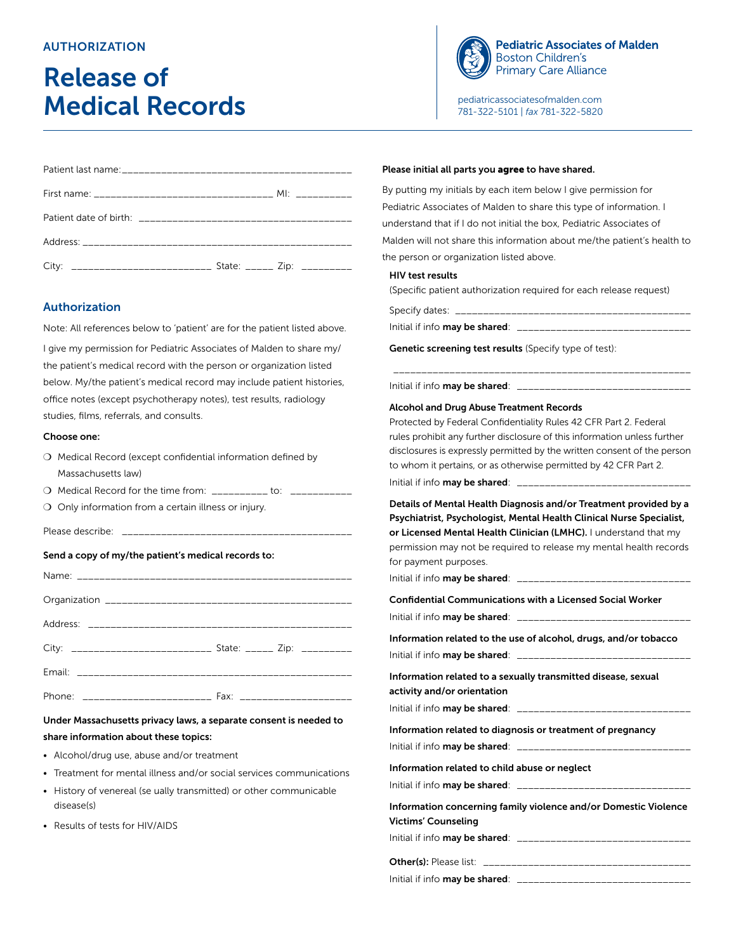## **AUTHORIZATION**

# Release of Medical Records



**Pediatric Associates of Malden Boston Children's Primary Care Alliance** 

[pediatricassociatesofmalden.com](https://pediatricassociatesofmalden.com) 781-322-5101 | *fax* 781-322-5820

| City: __________________________________ State: _______ Zip: ___________ |  |  |
|--------------------------------------------------------------------------|--|--|

## Authorization

Note: All references below to 'patient' are for the patient listed above.

I give my permission for Pediatric Associates of Malden to share my/ the patient's medical record with the person or organization listed below. My/the patient's medical record may include patient histories, office notes (except psychotherapy notes), test results, radiology studies, films, referrals, and consults.

#### Choose one:

- O Medical Record (except confidential information defined by Massachusetts law)
- O Medical Record for the time from: \_\_\_\_\_\_\_\_\_\_ to: \_\_\_\_\_
- O Only information from a certain illness or injury.

Please describe:

### Send a copy of my/the patient's medical records to:

| City: ______________________________ State: ______ Zip: __________ |  |
|--------------------------------------------------------------------|--|
|                                                                    |  |
|                                                                    |  |

## Under Massachusetts privacy laws, a separate consent is needed to share information about these topics:

- Alcohol/drug use, abuse and/or treatment
- Treatment for mental illness and/or social services communications
- History of venereal (se ually transmitted) or other communicable disease(s)
- Results of tests for HIV/AIDS

## Please initial all parts you agree to have shared.

By putting my initials by each item below I give permission for Pediatric Associates of Malden to share this type of information. I understand that if I do not initial the box, Pediatric Associates of Malden will not share this information about me/the patient's health to the person or organization listed above.

#### HIV test results

(Specific patient authorization required for each release request)

| Initial if info <b>may be shared</b> : | _____________________________ |
|----------------------------------------|-------------------------------|

\_\_\_\_\_\_\_\_\_\_\_\_\_\_\_\_\_\_\_\_\_\_\_\_\_\_\_\_\_\_\_\_\_\_\_\_\_\_\_\_\_\_\_\_\_\_\_\_\_\_\_\_\_

Genetic screening test results (Specify type of test):

Initial if info may be shared: \_\_\_\_\_\_\_\_\_\_\_\_\_\_\_\_\_\_\_\_\_\_\_\_\_\_\_\_\_\_\_

#### Alcohol and Drug Abuse Treatment Records

Protected by Federal Confidentiality Rules 42 CFR Part 2. Federal rules prohibit any further disclosure of this information unless further disclosures is expressly permitted by the written consent of the person to whom it pertains, or as otherwise permitted by 42 CFR Part 2.

Initial if info may be shared:  $\Box$ 

Details of Mental Health Diagnosis and/or Treatment provided by a Psychiatrist, Psychologist, Mental Health Clinical Nurse Specialist, or Licensed Mental Health Clinician (LMHC). I understand that my permission may not be required to release my mental health records for payment purposes.

Initial if info **may be shared**:  $\frac{1}{2}$ 

| <b>Confidential Communications with a Licensed Social Worker</b>                              |
|-----------------------------------------------------------------------------------------------|
| Information related to the use of alcohol, drugs, and/or tobacco                              |
| Information related to a sexually transmitted disease, sexual<br>activity and/or orientation  |
| Information related to diagnosis or treatment of pregnancy                                    |
| Information related to child abuse or neglect                                                 |
| Information concerning family violence and/or Domestic Violence<br><b>Victims' Counseling</b> |
|                                                                                               |
|                                                                                               |

Initial if info may be shared: \_\_\_\_\_\_\_\_\_\_\_\_